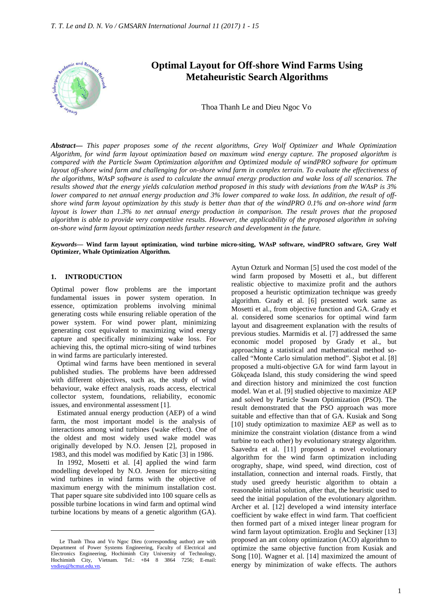

# **Optimal Layout for Off-shore Wind Farms Using Metaheuristic Search Algorithms**

Thoa Thanh Le and Dieu Ngoc Vo

*Abstract***—** *This paper proposes some of the recent algorithms, Grey Wolf Optimizer and Whale Optimization Algorithm, for wind farm layout optimization based on maximum wind energy capture. The proposed algorithm is compared with the Particle Swam Optimization algorithm and Optimized module of windPRO software for optimum layout off-shore wind farm and challenging for on-shore wind farm in complex terrain. To evaluate the effectiveness of the algorithms, WAsP software is used to calculate the annual energy production and wake loss of all scenarios. The results showed that the energy yields calculation method proposed in this study with deviations from the WAsP is 3% lower compared to net annual energy production and 3% lower compared to wake loss. In addition, the result of offshore wind farm layout optimization by this study is better than that of the windPRO 0.1% and on-shore wind farm layout is lower than 1.3% to net annual energy production in comparison. The result proves that the proposed algorithm is able to provide very competitive results. However, the applicability of the proposed algorithm in solving on-shore wind farm layout optimization needs further research and development in the future.*

*Keywords***— Wind farm layout optimization, wind turbine micro-siting, WAsP software, windPRO software, Grey Wolf Optimizer, Whale Optimization Algorithm.**

#### **1. INTRODUCTION**

 $\overline{a}$ 

Optimal power flow problems are the important fundamental issues in power system operation. In essence, optimization problems involving minimal generating costs while ensuring reliable operation of the power system. For wind power plant, minimizing generating cost equivalent to maximizing wind energy capture and specifically minimizing wake loss. For achieving this, the optimal micro-siting of wind turbines in wind farms are particularly interested.

Optimal wind farms have been mentioned in several published studies. The problems have been addressed with different objectives, such as, the study of wind behaviour, wake effect analysis, roads access, electrical collector system, foundations, reliability, economic issues, and environmental assessment [1].

Estimated annual energy production (AEP) of a wind farm, the most important model is the analysis of interactions among wind turbines (wake effect). One of the oldest and most widely used wake model was originally developed by N.O. Jensen [2], proposed in 1983, and this model was modified by Katic [3] in 1986.

In 1992, Mosetti et al. [4] applied the wind farm modelling developed by N.O. Jensen for micro-siting wind turbines in wind farms with the objective of maximum energy with the minimum installation cost. That paper square site subdivided into 100 square cells as possible turbine locations in wind farm and optimal wind turbine locations by means of a genetic algorithm (GA). Aytun Ozturk and Norman [5] used the cost model of the wind farm proposed by Mosetti et al., but different realistic objective to maximize profit and the authors proposed a heuristic optimization technique was greedy algorithm. Grady et al. [6] presented work same as Mosetti et al., from objective function and GA. Grady et al. considered some scenarios for optimal wind farm layout and disagreement explanation with the results of previous studies. Marmidis et al. [7] addressed the same economic model proposed by Grady et al., but approaching a statistical and mathematical method socalled "Monte Carlo simulation method". Şişbot et al. [8] proposed a multi-objective GA for wind farm layout in Gökçeada Island, this study considering the wind speed and direction history and minimized the cost function model. Wan et al. [9] studied objective to maximize AEP and solved by Particle Swam Optimization (PSO). The result demonstrated that the PSO approach was more suitable and effective than that of GA. Kusiak and Song [10] study optimization to maximize AEP as well as to minimize the constraint violation (distance from a wind turbine to each other) by evolutionary strategy algorithm. Saavedra et al. [11] proposed a novel evolutionary algorithm for the wind farm optimization including orography, shape, wind speed, wind direction, cost of installation, connection and internal roads. Firstly, that study used greedy heuristic algorithm to obtain a reasonable initial solution, after that, the heuristic used to seed the initial population of the evolutionary algorithm. Archer et al. [12] developed a wind intensity interface coefficient by wake effect in wind farm. That coefficient then formed part of a mixed integer linear program for wind farm layout optimization. Eroğlu and Seçkiner [13] proposed an ant colony optimization (ACO) algorithm to optimize the same objective function from Kusiak and Song [10]. Wagner et al. [14] maximized the amount of energy by minimization of wake effects. The authors

Le Thanh Thoa and Vo Ngoc Dieu (corresponding author) are with Department of Power Systems Engineering, Faculty of Electrical and Electronics Engineering, Hochiminh City University of Technology, Hochiminh City, Vietnam. Tel.: +84 8 3864 7256; E-mail: vndieu@hcmut.edu.vn.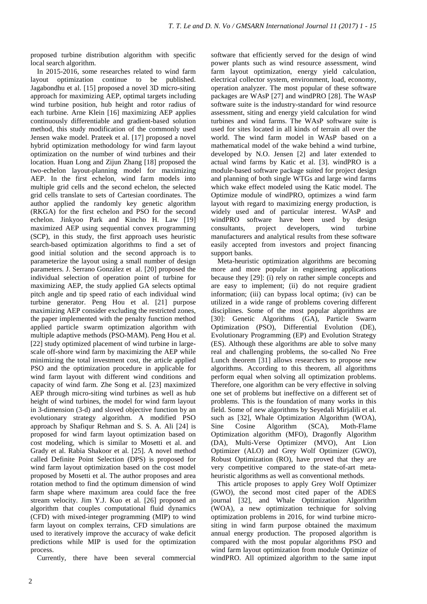proposed turbine distribution algorithm with specific local search algorithm.

In 2015-2016, some researches related to wind farm layout optimization continue to be published. Jagabondhu et al. [15] proposed a novel 3D micro-siting approach for maximizing AEP, optimal targets including wind turbine position, hub height and rotor radius of each turbine. Arne Klein [16] maximizing AEP applies continuously differentiable and gradient-based solution method, this study modification of the commonly used Jensen wake model. Prateek et al. [17] proposed a novel hybrid optimization methodology for wind farm layout optimization on the number of wind turbines and their location. Huan Long and Zijun Zhang [18] proposed the two-echelon layout-planning model for maximizing AEP. In the first echelon, wind farm models into multiple grid cells and the second echelon, the selected grid cells translate to sets of Cartesian coordinates. The author applied the randomly key genetic algorithm (RKGA) for the first echelon and PSO for the second echelon. Jinkyoo Park and Kincho H. Law [19] maximized AEP using sequential convex programming (SCP), in this study, the first approach uses heuristic search-based optimization algorithms to find a set of good initial solution and the second approach is to parameterize the layout using a small number of design parameters. J. Serrano González et al. [20] proposed the individual selection of operation point of turbine for maximizing AEP, the study applied GA selects optimal pitch angle and tip speed ratio of each individual wind turbine generator. Peng Hou et al. [21] purpose maximizing AEP consider excluding the restricted zones, the paper implemented with the penalty function method applied particle swarm optimization algorithm with multiple adaptive methods (PSO-MAM). Peng Hou et al. [22] study optimized placement of wind turbine in largescale off-shore wind farm by maximizing the AEP while minimizing the total investment cost, the article applied PSO and the optimization procedure in applicable for wind farm layout with different wind conditions and capacity of wind farm. Zhe Song et al. [23] maximized AEP through micro-siting wind turbines as well as hub height of wind turbines, the model for wind farm layout in 3-dimension (3-d) and sloved objective function by an evolutionary strategy algorithm. A modified PSO approach by Shafiqur Rehman and S. S. A. Ali [24] is proposed for wind farm layout optimization based on cost modeling, which is similar to Mosetti et al. and Grady et al. Rabia Shakoor et al. [25]. A novel method called Definite Point Selection (DPS) is proposed for wind farm layout optimization based on the cost model proposed by Mosetti et al. The author proposes and area rotation method to find the optimum dimension of wind farm shape where maximum area could face the free stream velocity. Jim Y.J. Kuo et al. [26] proposed an algorithm that couples computational fluid dynamics (CFD) with mixed-integer programming (MIP) to wind farm layout on complex terrains, CFD simulations are used to iteratively improve the accuracy of wake deficit predictions while MIP is used for the optimization process.

Currently, there have been several commercial

software that efficiently served for the design of wind power plants such as wind resource assessment, wind farm layout optimization, energy yield calculation, electrical collector system, environment, load, economy, operation analyzer. The most popular of these software packages are WAsP [27] and windPRO [28]. The WAsP software suite is the industry-standard for wind resource assessment, siting and energy yield calculation for wind turbines and wind farms. The WAsP software suite is used for sites located in all kinds of terrain all over the world. The wind farm model in WAsP based on a mathematical model of the wake behind a wind turbine, developed by N.O. Jensen [2] and later extended to actual wind farms by Katic et al. [3]. windPRO is a module-based software package suited for project design and planning of both single WTGs and large wind farms which wake effect modeled using the Katic model. The Optimize module of windPRO, optimizes a wind farm layout with regard to maximizing energy production, is widely used and of particular interest. WAsP and windPRO software have been used by design consultants, project developers, wind turbine manufacturers and analytical results from these software easily accepted from investors and project financing support banks.

Meta-heuristic optimization algorithms are becoming more and more popular in engineering applications because they [29]: (i) rely on rather simple concepts and are easy to implement; (ii) do not require gradient information; (iii) can bypass local optima; (iv) can be utilized in a wide range of problems covering different disciplines. Some of the most popular algorithms are [30]: Genetic Algorithms (GA), Particle Swarm Optimization (PSO), Differential Evolution (DE), Evolutionary Programming (EP) and Evolution Strategy (ES). Although these algorithms are able to solve many real and challenging problems, the so-called No Free Lunch theorem [31] allows researchers to propose new algorithms. According to this theorem, all algorithms perform equal when solving all optimization problems. Therefore, one algorithm can be very effective in solving one set of problems but ineffective on a different set of problems. This is the foundation of many works in this field. Some of new algorithms by Seyedali Mirjalili et al. such as [32], Whale Optimization Algorithm (WOA), Sine Cosine Algorithm (SCA), Moth-Flame Optimization algorithm (MFO), Dragonfly Algorithm (DA), Multi-Verse Optimizer (MVO), Ant Lion Optimizer (ALO) and Grey Wolf Optimizer (GWO), Robust Optimization (RO), have proved that they are very competitive compared to the state-of-art metaheuristic algorithms as well as conventional methods.

This article proposes to apply Grey Wolf Optimizer (GWO), the second most cited paper of the ADES journal [32], and Whale Optimization Algorithm (WOA), a new optimization technique for solving optimization problems in 2016, for wind turbine micrositing in wind farm purpose obtained the maximum annual energy production. The proposed algorithm is compared with the most popular algorithms PSO and wind farm layout optimization from module Optimize of windPRO. All optimized algorithm to the same input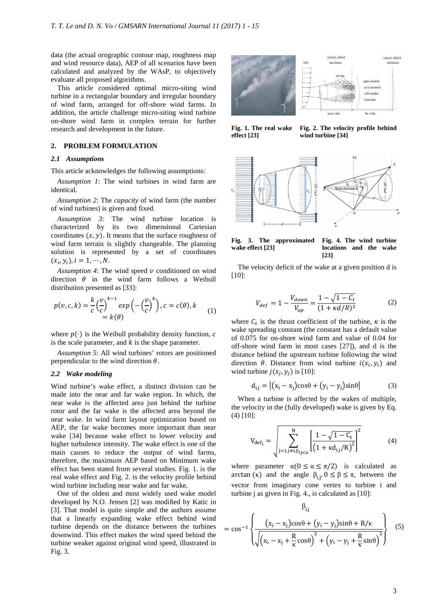data (the actual orographic contour map, roughness map and wind resource data), AEP of all scenarios have been calculated and analyzed by the WAsP, to objectively evaluate all proposed algorithms.

This article considered optimal micro-siting wind turbine in a rectangular boundary and irregular boundary of wind farm, arranged for off-shore wind farms. In addition, the article challenge micro-siting wind turbine on-shore wind farm in complex terrain for further research and development in the future.

#### **2. PROBLEM FORMULATION**

#### *2.1 Assumptions*

This article acknowledges the following assumptions:

*Assumption 1*: The wind turbines in wind farm are identical.

*Assumption 2*: The *capacity* of wind farm (the number of wind turbines) is given and fixed.

*Assumption 3*: The wind turbine location is characterized by its two dimensional Cartesian coordinates  $(x, y)$ . It means that the surface roughness of wind farm terrain is slightly changeable. The planning solution is represented by a set of coordinates  $(x_i, y_i), i = 1, \cdots, N.$ 

Assumption 4: The wind speed  $\nu$  conditioned on wind direction  $\theta$  in the wind farm follows a Weibull distribution presented as [33]:

$$
p(v, c, k) = \frac{k}{c} \left(\frac{v}{c}\right)^{k-1} exp\left(-\left(\frac{v}{c}\right)^k\right), c = c(\theta), k
$$
  
=  $k(\theta)$  (1)

where  $p(\cdot)$  is the Weibull probability density function, c is the scale parameter, and  $k$  is the shape parameter.

*Assumption 5*: All wind turbines' rotors are positioned perpendicular to the wind direction  $\theta$ .

#### *2.2 Wake modeling*

Wind turbine's wake effect, a distinct division can be made into the near and far wake region. In which, the near wake is the affected area just behind the turbine rotor and the far wake is the affected area beyond the near wake. In wind farm layout optimization based on AEP, the far wake becomes more important than near wake [34] because wake effect to lower velocity and higher turbulence intensity. The wake effect is one of the main causes to reduce the output of wind farms, therefore, the maximum AEP based on Minimum wake effect has been stated from several studies. Fig. 1. is the real wake effect and Fig. 2. is the velocity profile behind wind turbine including near wake and far wake.

One of the oldest and most widely used wake model developed by N.O. Jensen [2] was modified by Katic in [3]. That model is quite simple and the authors assume that a linearly expanding wake effect behind wind turbine depends on the distance between the turbines downwind. This effect makes the wind speed behind the turbine weaker against original wind speed, illustrated in Fig. 3.





**Fig. 2. The velocity profile behind wind turbine [34]** 



**Fig. 3. The approximated wake effect [23] Fig. 4. The wind turbine locations and the wake [23]** 

The velocity deficit of the wake at a given position d is [10]:

$$
V_{def} = 1 - \frac{V_{down}}{V_{up}} = \frac{1 - \sqrt{1 - C_t}}{(1 + \kappa d/R)^2}
$$
 (2)

where  $C_t$  is the thrust coefficient of the turbine,  $\kappa$  is the wake spreading constant (the constant has a default value of 0.075 for on-shore wind farm and value of 0.04 for off-shore wind farm in most cases [27]), and d is the distance behind the upstream turbine following the wind direction  $\theta$ . Distance from wind turbine  $i(x_i, y_i)$  and wind turbine  $j(x_j, y_j)$  is [10]:

$$
d_{i,j} = |(x_i - x_j)\cos\theta + (y_i - y_j)\sin\theta| \tag{3}
$$

When a turbine is affected by the wakes of multiple, the velocity in the (fully developed) wake is given by Eq. (4) [10]:

$$
V_{def_i} = \sqrt{\sum_{j=1,j\neq i,\beta_{i,j< \alpha}}^N \left[ \frac{1 - \sqrt{1 - C_t}}{(1 + \kappa d_{i,j}/R)^2} \right]^2}
$$
(4)

where parameter  $\alpha(0 \le \alpha \le \pi/2)$  is calculated as arctan (κ) and the angle  $\beta_{i,j}$ ,  $0 \leq \beta \leq \pi$ , between the vector from imaginary cone vertex to turbine i and turbine j as given in Fig. 4., is calculated as [10]:

$$
\beta_{i,j} = \cos^{-1}\left\{\frac{(x_i - x_j)\cos\theta + (y_i - y_j)\sin\theta + R/\kappa}{\sqrt{(x_i - x_j + \frac{R}{\kappa}\cos\theta)^2 + (y_i - y_j + \frac{R}{\kappa}\sin\theta)^2}}\right\}
$$
(5)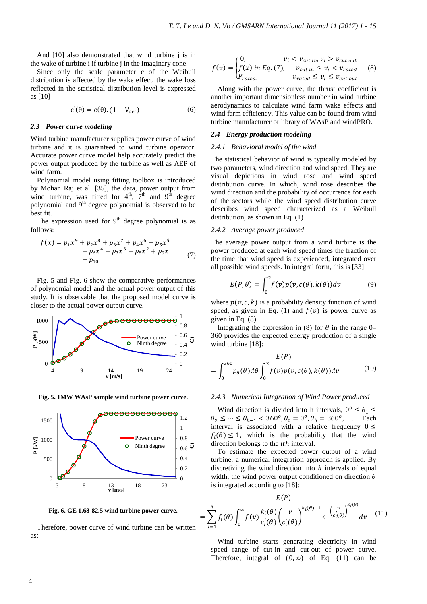And [10] also demonstrated that wind turbine j is in the wake of turbine i if turbine j in the imaginary cone.

Since only the scale parameter c of the Weibull distribution is affected by the wake effect, the wake loss reflected in the statistical distribution level is expressed as [10]

$$
c'(\theta) = c(\theta). (1 - V_{\text{def}}) \tag{6}
$$

#### *2.3 Power curve modeling*

Wind turbine manufacturer supplies power curve of wind turbine and it is guaranteed to wind turbine operator. Accurate power curve model help accurately predict the power output produced by the turbine as well as AEP of wind farm.

Polynomial model using fitting toolbox is introduced by Mohan Raj et al. [35], the data, power output from wind turbine, was fitted for  $4<sup>th</sup>$ ,  $7<sup>th</sup>$  and  $9<sup>th</sup>$  degree polynomial and  $9<sup>th</sup>$  degree polynomial is observed to be best fit.

The expression used for  $9<sup>th</sup>$  degree polynomial is as follows:

$$
f(x) = p_1 x^9 + p_2 x^8 + p_3 x^7 + p_4 x^6 + p_5 x^5 + p_6 x^4 + p_7 x^3 + p_8 x^2 + p_9 x + p_{10}
$$
 (7)

Fig. 5 and Fig. 6 show the comparative performances of polynomial model and the actual power output of this study. It is observable that the proposed model curve is closer to the actual power output curve.



**Fig. 5. 1MW WAsP sample wind turbine power curve.** 



**Fig. 6. GE 1.68-82.5 wind turbine power curve.** 

Therefore, power curve of wind turbine can be written as:

$$
f(v) = \begin{cases} 0, & v_i < v_{cut in}, v_i > v_{cut out} \\ f(x) \text{ in Eq. (7)}, & v_{cut in} \le v_i < v_{rated} \\ P_{rated}, & v_{rated} \le v_i \le v_{cut out} \end{cases} \quad (8)
$$

Along with the power curve, the thrust coefficient is another important dimensionless number in wind turbine aerodynamics to calculate wind farm wake effects and wind farm efficiency. This value can be found from wind turbine manufacturer or library of WAsP and windPRO.

#### *2.4 Energy production modeling*

#### *2.4.1 Behavioral model of the wind*

The statistical behavior of wind is typically modeled by two parameters, wind direction and wind speed. They are visual depictions in wind rose and wind speed distribution curve. In which, wind rose describes the wind direction and the probability of occurrence for each of the sectors while the wind speed distribution curve describes wind speed characterized as a Weibull distribution, as shown in Eq. (1)

#### *2.4.2 Average power produced*

The average power output from a wind turbine is the power produced at each wind speed times the fraction of the time that wind speed is experienced, integrated over all possible wind speeds. In integral form, this is [33]:

$$
E(P,\theta) = \int_0^\infty f(v)p(v,c(\theta),k(\theta))dv
$$
 (9)

where  $p(v, c, k)$  is a probability density function of wind speed, as given in Eq. (1) and  $f(v)$  is power curve as given in Eq. (8).

Integrating the expression in (8) for  $\theta$  in the range 0– 360 provides the expected energy production of a single wind turbine [18]:

$$
E(P)
$$
  
= 
$$
\int_0^{360} p_{\theta}(\theta) d\theta \int_0^{\infty} f(v) p(v, c(\theta), k(\theta)) dv
$$
 (10)

#### *2.4.3 Numerical Integration of Wind Power produced*

Wind direction is divided into h intervals,  $0^{\circ} \le \theta_1 \le$  $\theta_2 \leq \cdots \leq \theta_{h-1} < 360^\circ, \theta_0 = 0^\circ, \theta_h = 360^\circ,$  . Each interval is associated with a relative frequency  $0 \le$  $f_i(\theta) \leq 1$ , which is the probability that the wind direction belongs to the  $ith$  interval.

To estimate the expected power output of a wind turbine, a numerical integration approach is applied. By discretizing the wind direction into  $h$  intervals of equal width, the wind power output conditioned on direction  $\theta$ is integrated according to [18]:

$$
E(P)
$$

$$
= \sum_{i=1}^{h} f_i(\theta) \int_0^{\infty} f(v) \frac{k_i(\theta)}{c_i(\theta)} \left(\frac{v}{c_i(\theta)}\right)^{k_i(\theta)-1} e^{-\left(\frac{v}{c_i(\theta)}\right)^{k_i(\theta)}} dv \quad (11)
$$

Wind turbine starts generating electricity in wind speed range of cut-in and cut-out of power curve. Therefore, integral of  $(0, \infty)$  of Eq. (11) can be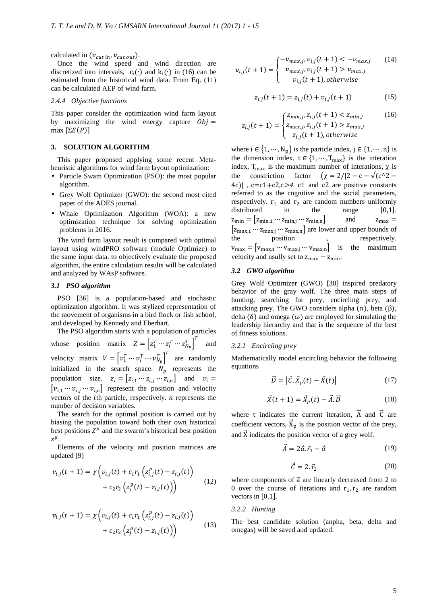calculated in  $(v_{cut in}, v_{cut out})$ .

Once the wind speed and wind direction are discretized into intervals,  $c_i(\cdot)$  and  $k_i(\cdot)$  in (16) can be estimated from the historical wind data. From Eq. (11) can be calculated AEP of wind farm.

# *2.4.4 Objective functions*

This paper consider the optimization wind farm layout by maximizing the wind energy capture  $Obj =$ max  $[ΣE(P)]$ 

# **3. SOLUTION ALGORITHM**

This paper proposed applying some recent Metaheuristic algorithms for wind farm layout optimization:

- Particle Swam Optimization (PSO): the most popular algorithm.
- Grey Wolf Optimizer (GWO): the second most cited paper of the ADES journal.
- Whale Optimization Algorithm (WOA): a new optimization technique for solving optimization problems in 2016.

The wind farm layout result is compared with optimal layout using windPRO software (module Optimize) to the same input data. to objectively evaluate the proposed algorithm, the entire calculation results will be calculated and analyzed by WAsP software.

## *3.1 PSO algorithm*

PSO [36] is a population-based and stochastic optimization algorithm. It was stylized representation of the movement of organisms in a bird flock or fish school, and developed by Kennedy and Eberhart.

The PSO algorithm starts with a population of particles whose position matrix  $Z = \begin{bmatrix} z_1^T \cdots z_i^T \cdots z_{N_p}^T \end{bmatrix}^T$  and velocity matrix  $V = \begin{bmatrix} v_1^T \cdots v_i^T \cdots v_{N_p}^T \end{bmatrix}^T$  are randomly initialized in the search space.  $N_p$  represents the population size.  $z_i = [z_{i,1} \cdots z_{i,j} \cdots z_{i,n}]$  and  $v_i =$  $[v_{i,1} \cdots v_{i,j} \cdots v_{i,n}]$  represent the position and velocity vectors of the  $i$ th particle, respectively.  $n$  represents the number of decision variables.

The search for the optimal position is carried out by biasing the population toward both their own historical best positions  $Z^p$  and the swarm's historical best position  $z^g$ .

Elements of the velocity and position matrices are updated [9]

$$
v_{i,j}(t+1) = \chi \left( v_{i,j}(t) + c_1 r_1 \left( z_{i,j}^p(t) - z_{i,j}(t) \right) + c_2 r_2 \left( z_j^g(t) - z_{i,j}(t) \right) \right)
$$
(12)

$$
v_{i,j}(t+1) = \chi \left( v_{i,j}(t) + c_1 r_1 \left( z_{i,j}^p(t) - z_{i,j}(t) \right) + c_2 r_2 \left( z_j^g(t) - z_{i,j}(t) \right) \right)
$$
(13)

$$
v_{i,j}(t+1) = \begin{cases} -v_{max,j}, v_{i,j}(t+1) < -v_{max,j} \\ v_{max,j}, v_{i,j}(t+1) > v_{max,j} \\ v_{i,j}(t+1), \text{otherwise} \end{cases} \tag{14}
$$

$$
z_{i,j}(t+1) = z_{i,j}(t) + v_{i,j}(t+1)
$$
 (15)

$$
z_{i,j}(t+1) = \begin{cases} z_{min,j}, z_{i,j}(t+1) < z_{min,j} \\ z_{max,j}, z_{i,j}(t+1) > z_{max,j} \\ z_{i,j}(t+1), \text{otherwise} \end{cases} \tag{16}
$$

where  $i \in \{1, \dots, N_p\}$  is the particle index,  $j \in \{1, \dots, n\}$  is the dimension index,  $t \in \{1, \dots, T_{max}\}\$ is the interation index,  $T_{max}$  is the maximum number of interations,  $\chi$  is the constriction factor  $(\chi = 2/|2 - c - \sqrt{(c^2 - c)}|)$ 4c)  $|c= c1+c2, c>4$ . c1 and c2 are positive constants referred to as the cognitive and the social parameters, respectively.  $r_1$  and  $r_2$  are random numbers uniformly distributed in the range  $[0,1]$ .  $z_{\text{min}} = [z_{\text{min},1} \cdots z_{\text{min},j} \cdots z_{\text{min},n}]$  and  $z_{\text{max}} =$  $[z_{\text{max},1} \cdots z_{\text{max},j} \cdots z_{\text{max},n}]$  are lower and upper bounds of the position , respectively. position  $v_{\text{max}} = [v_{\text{max},1} \cdots v_{\text{max},j} \cdots v_{\text{max},n}]$  is the maximum velocity and usully set to  $z_{max} - z_{min}$ .

#### *3.2 GWO algorithm*

Grey Wolf Optimizer (GWO) [30] inspired predatory behavior of the gray wolf. The three main steps of hunting, searching for prey, encircling prey, and attacking prey. The GWO considers alpha  $(\alpha)$ , beta  $(\beta)$ , delta  $(\delta)$  and omega  $(\omega)$  are employed for simulating the leadership hierarchy and that is the sequence of the best of fitness solutions.

#### *3.2.1 Encircling prey*

Mathematically model encircling behavior the following equations

$$
\vec{D} = \left| \vec{C} \cdot \vec{X}_p(t) - \vec{X}(t) \right| \tag{17}
$$

$$
\vec{X}(t+1) = \vec{X}_p(t) - \vec{A}.\vec{D}
$$
 (18)

where t indicates the current iteration,  $\vec{A}$  and  $\vec{C}$  are coefficient vectors,  $\dot{X}_p$  is the position vector of the prey, and  $\vec{X}$  indicates the position vector of a grey wolf.

$$
\vec{A} = 2\vec{a}.\vec{r}_1 - \vec{a} \tag{19}
$$

$$
\vec{\mathcal{C}} = 2. \vec{r}_2 \tag{20}
$$

where components of  $\vec{a}$  are linearly decreased from 2 to 0 over the course of iterations and  $r_1, r_2$  are random vectors in [0,1].

#### *3.2.2 Hunting*

The best candidate solution (anpha, beta, delta and omegas) will be saved and updated.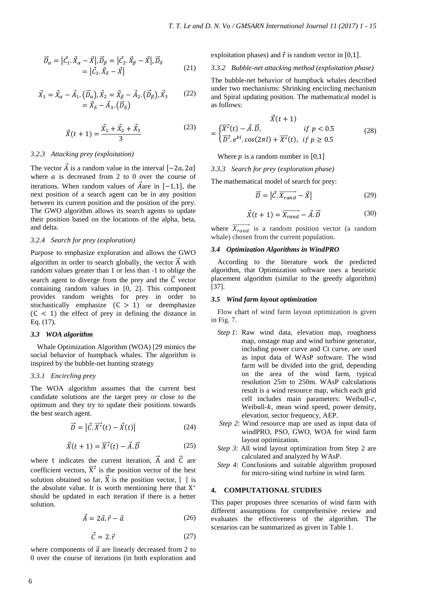$$
\vec{D}_{\alpha} = |\vec{C}_{1} \cdot \vec{X}_{\alpha} - \vec{X}|, \vec{D}_{\beta} = |\vec{C}_{2} \cdot \vec{X}_{\beta} - \vec{X}|, \vec{D}_{\delta} \n= |\vec{C}_{3} \cdot \vec{X}_{\delta} - \vec{X}|
$$
\n(21)

$$
\vec{X}_1 = \vec{X}_\alpha - \vec{A}_1 \cdot (\vec{D}_\alpha), \vec{X}_2 = \vec{X}_\beta - \vec{A}_2 \cdot (\vec{D}_\beta), \vec{X}_3 \qquad (22)
$$
  
=  $\vec{X}_\delta - \vec{A}_3 \cdot (\vec{D}_\delta)$ 

$$
\vec{X}(t+1) = \frac{\vec{X}_1 + \vec{X}_2 + \vec{X}_3}{3} \tag{23}
$$

# *3.2.3 Attacking prey (exploitation)*

The vector  $\vec{A}$  is a random value in the interval  $[-2a, 2a]$ where  $a$  is decreased from 2 to 0 over the course of iterations. When random values of  $\vec{A}$  are in [−1,1], the next position of a search agent can be in any position between its current position and the position of the prey. The GWO algorithm allows its search agents to update their position based on the locations of the alpha, beta, and delta.

# *3.2.4 Search for prey (exploration)*

Purpose to emphasize exploration and allows the GWO algorithm in order to search globally, the vector  $\vec{A}$  with random values greater than 1 or less than -1 to oblige the search agent to diverge from the prey and the  $\vec{C}$  vector containing random values in [0, 2]. This component provides random weights for prey in order to stochastically emphasize  $(C > 1)$  or deemphasize  $(C < 1)$  the effect of prey in defining the distance in Eq. (17).

# *3.3 WOA algorithm*

Whale Optimization Algorithm (WOA) [29 mimics the social behavior of humpback whales. The algorithm is inspired by the bubble-net hunting strategy

# *3.3.1 Encircling prey*

The WOA algorithm assumes that the current best candidate solutions are the target prey or close to the optimum and they try to update their positions towards the best search agent.

$$
\vec{D} = \left| \vec{C} \cdot \vec{X}^*(t) - \vec{X}(t) \right| \tag{24}
$$

$$
\vec{X}(t+1) = \overrightarrow{X^*}(t) - \vec{A} \cdot \vec{D}
$$
 (25)

where t indicates the current iteration.  $\vec{A}$  and  $\vec{C}$  are coefficient vectors,  $\overrightarrow{X}^*$  is the position vector of the best solution obtained so far,  $\vec{X}$  is the position vector,  $|\cdot|$  is the absolute value. It is worth mentioning here that  $X^*$ should be updated in each iteration if there is a better solution.

$$
\vec{A} = 2\vec{a}.\vec{r} - \vec{a} \tag{26}
$$

$$
\vec{C} = 2. \vec{r} \tag{27}
$$

where components of  $\vec{a}$  are linearly decreased from 2 to 0 over the course of iterations (in both exploration and exploitation phases) and  $\vec{r}$  is random vector in [0,1].

# *3.3.2 Bubble-net attacking method (exploitation phase)*

The bubble-net behavior of humpback whales described under two mechanisms: Shrinking encircling mechanism and Spiral updating position. The mathematical model is as follows:

$$
X(t + 1)
$$
  
= 
$$
\begin{cases} \overline{X^*}(t) - \overrightarrow{A} \cdot \overrightarrow{D}, & \text{if } p < 0.5\\ \overrightarrow{D'}, e^{bl} \cdot \cos(2\pi l) + \overrightarrow{X^*}(t), & \text{if } p \ge 0.5 \end{cases}
$$
 (28)

Where  $p$  is a random number in [0,1]

*3.3.3 Search for prey (exploration phase)* 

The mathematical model of search for prey:

$$
\vec{D} = |\vec{C} \cdot \overrightarrow{X_{rand}} - \vec{X}| \tag{29}
$$

$$
\vec{X}(t+1) = \overrightarrow{X_{rand}} - \vec{A} \cdot \vec{D}
$$
 (30)

where  $\overrightarrow{X_{rand}}$  is a random position vector (a random whale) chosen from the current population.

#### *3.4 Optimization Algorithms in WindPRO*

According to the literature work the predicted algorithm, that Optimization software uses a heuristic placement algorithm (similar to the greedy algorithm) [37].

#### *3.5 Wind farm layout optimization*

Flow chart of wind farm layout optimization is given in Fig. 7.

- *Step 1*: Raw wind data, elevation map, roughness map, onstage map and wind turbine generator, including power curve and Ct curve, are used as input data of WAsP software. The wind farm will be divided into the grid, depending on the area of the wind farm, typical resolution 25m to 250m. WAsP calculations result is a wind resource map, which each grid cell includes main parameters: Weibull- $c$ , Weibull- $k$ , mean wind speed, power density, elevation, sector frequency, AEP.
- *Step 2*: Wind resource map are used as input data of windPRO, PSO, GWO, WOA for wind farm layout optimization.
- *Step 3*: All wind layout optimization from Step 2 are calculated and analyzed by WAsP.
- *Step 4*: Conclusions and suitable algorithm proposed for micro-siting wind turbine in wind farm.

# **4. COMPUTATIONAL STUDIES**

This paper proposes three scenarios of wind farm with different assumptions for comprehensive review and evaluates the effectiveness of the algorithm. The scenarios can be summarized as given in Table 1.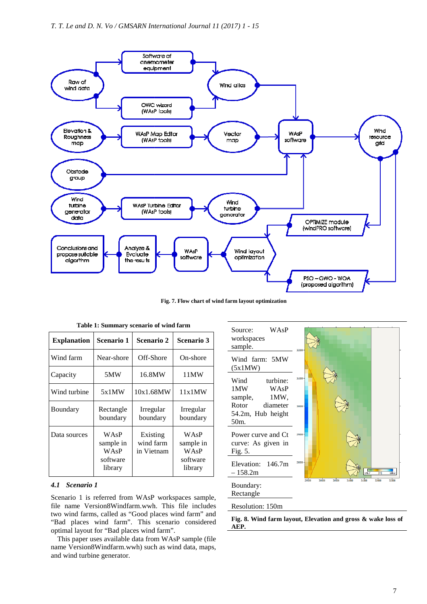

**Fig. 7. Flow chart of wind farm layout optimization**

| <b>Explanation</b> | Scenario 1                                       | Scenario 2                          | Scenario 3                                       |
|--------------------|--------------------------------------------------|-------------------------------------|--------------------------------------------------|
| Wind farm          | Near-shore                                       | Off-Shore                           | On-shore                                         |
| Capacity           | 5MW                                              | 16.8MW                              | 11MW                                             |
| Wind turbine       | 5x1MW                                            | 10x1.68MW                           | 11x1MW                                           |
| Boundary           | Rectangle<br>boundary                            | Irregular<br>boundary               | Irregular<br>boundary                            |
| Data sources       | WAsP<br>sample in<br>WAsP<br>software<br>library | Existing<br>wind farm<br>in Vietnam | WAsP<br>sample in<br>WAsP<br>software<br>library |

**Table 1: Summary scenario of wind farm**

#### *4.1 Scenario 1*

Scenario 1 is referred from WAsP workspaces sample, file name Version8Windfarm.wwh. This file includes two wind farms, called as "Good places wind farm" and "Bad places wind farm". This scenario considered optimal layout for "Bad places wind farm".

This paper uses available data from WAsP sample (file name Version8Windfarm.wwh) such as wind data, maps, and wind turbine generator.



# Resolution: 150m

**Fig. 8. Wind farm layout, Elevation and gross & wake loss of AEP.**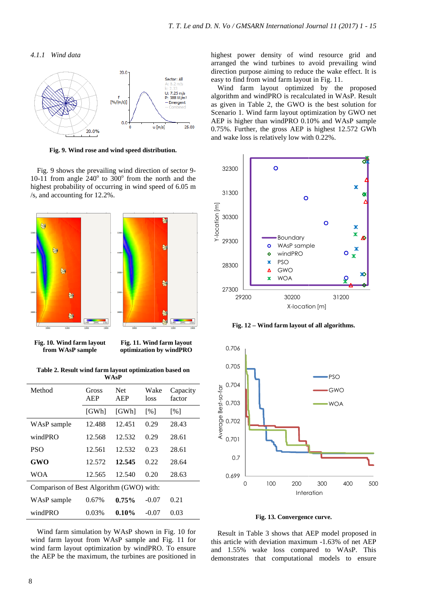*4.1.1 Wind data* 



**Fig. 9. Wind rose and wind speed distribution distribution.**

Fig. 9 shows the prevailing wind direction of sector 9 9- 10-11 from angle  $240^{\circ}$  to  $300^{\circ}$  from the north and the highest probability of occurring in wind speed of 6.05 m /s, and accounting for 12.2%.



**Fig. 10. Wind farm layout from WAsP sample** 

**Fig. 11. Wind farm layout optimization by windPRO**

**Table 2. Result wind farm layout optimization based on WAsP** 

| Method                                   | Gross<br>AEP | <b>Net</b><br>AEP | Wake<br>loss      | Capacity<br>factor |
|------------------------------------------|--------------|-------------------|-------------------|--------------------|
|                                          | [GWh]        | [GWh]             | $\lceil\% \rceil$ | [%]                |
| WAsP sample                              | 12.488       | 12.451            | 0.29              | 28.43              |
| windPRO                                  | 12.568       | 12.532            | 0.29              | 28.61              |
| <b>PSO</b>                               | 12.561       | 12.532            | 0.23              | 28.61              |
| GWO                                      | 12.572       | 12.545            | 0.22              | 28.64              |
| <b>WOA</b>                               | 12.565       | 12.540            | 0.20              | 28.63              |
| Comparison of Best Algorithm (GWO) with: |              |                   |                   |                    |
| WAsP sample                              | 0.67%        | 0.75%             | $-0.07$           | 0.21               |
| windPRO                                  | 0.03%        | 0.10%             | $-0.07$           | 0.03               |

Wind farm simulation by WAsP shown in Fig. 10 for wind farm layout from WAsP sample and Fig. 11 for wind farm layout optimization by windPRO. To ensure the AEP be the maximum, the turbines are positioned in highest power density of wind resource grid and arranged the wind turbines to avoid prevailing wind he direction purpose aiming to reduce the wake effect. It is easy to find from wind farm layout in Fig. 11.

Wind farm layout optimized by the proposed algorithm and windPRO is recalculated in WAsP. Result as given in Table 2, the GWO is the best solution for Scenario 1. Wind farm layout optimization by GWO net AEP is higher than windPRO 0.10% and WAsP sample 0.75%. Further, the gross AEP is highest 12.572 GWh and wake loss is relatively low with 0.22%.



Fig. 12 – Wind farm layout of all algorithms.



**Fig. 13. Convergence curve curve.** 

Result in Table 3 shows that AEP model proposed in this article with deviation maximum -1.63% of net AEP and 1.55% wake loss compared to WAsP WAsP. This demonstrates that computational models to ensure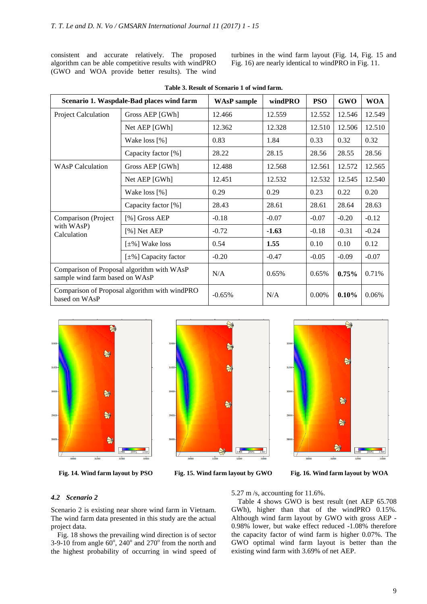consistent and accurate relatively. The proposed algorithm can be able competitive results with windPRO (GWO and WOA provide better results). The wind

turbines in the wind farm layout (Fig. 14, Fig. 1 15 and Fig. 16) are nearly identical to windPRO in Fig. 11.

|                                                                              | Scenario 1. Waspdale-Bad places wind farm     | <b>WAsP</b> sample | windPRO | <b>PSO</b> | <b>GWO</b> | <b>WOA</b> |
|------------------------------------------------------------------------------|-----------------------------------------------|--------------------|---------|------------|------------|------------|
| Project Calculation                                                          | Gross AEP [GWh]                               | 12.466             | 12.559  | 12.552     | 12.546     | 12.549     |
|                                                                              | Net AEP [GWh]                                 | 12.362             | 12.328  | 12.510     | 12.506     | 12.510     |
|                                                                              | Wake loss [%]                                 | 0.83               | 1.84    | 0.33       | 0.32       | 0.32       |
|                                                                              | Capacity factor [%]                           | 28.22              | 28.15   | 28.56      | 28.55      | 28.56      |
| <b>WAsP Calculation</b>                                                      | Gross AEP [GWh]                               | 12.488             | 12.568  | 12.561     | 12.572     | 12.565     |
|                                                                              | Net AEP [GWh]                                 | 12.451             | 12.532  | 12.532     | 12.545     | 12.540     |
|                                                                              | Wake loss [%]                                 | 0.29               | 0.29    | 0.23       | 0.22       | 0.20       |
|                                                                              | Capacity factor [%]                           | 28.43              | 28.61   | 28.61      | 28.64      | 28.63      |
| Comparison (Project                                                          | [%] Gross AEP                                 | $-0.18$            | $-0.07$ | $-0.07$    | $-0.20$    | $-0.12$    |
| with WAsP)<br>Calculation                                                    | [%] Net AEP                                   | $-0.72$            | $-1.63$ | $-0.18$    | $-0.31$    | $-0.24$    |
|                                                                              | $[\pm\%]$ Wake loss                           | 0.54               | 1.55    | 0.10       | 0.10       | 0.12       |
|                                                                              | $[\pm \%]$ Capacity factor                    | $-0.20$            | $-0.47$ | $-0.05$    | $-0.09$    | $-0.07$    |
| Comparison of Proposal algorithm with WAsP<br>sample wind farm based on WAsP |                                               | N/A                | 0.65%   | 0.65%      | $0.75\%$   | 0.71%      |
| based on WAsP                                                                | Comparison of Proposal algorithm with windPRO | $-0.65%$           | N/A     | $0.00\%$   | 0.10%      | 0.06%      |

**Table 3. Result of Scenario 1 of wind farm.** 



**Fig. 14. Wind farm layout by PSO**



Fig. 15. Wind farm layout by GWO

 $\Rightarrow$ 

**16. Wind farm layout by WOA** 

₩

争

# *4.2 Scenario 2*

Scenario 2 is existing near shore wind farm in Vietnam. The wind farm data presented in this study are the actual project data.

Fig. 18 shows the prevailing wind direction direction is of sector 3-9-10 from angle  $60^{\circ}$ , 240° and 270° from the north and the highest probability of occurring in wind speed of 5.27 m /s, accounting for 11.6 11.6%.

Table 4 shows GWO is best result (net AEP 65.708 GWh), higher than that of the windPRO 0.15%. Table 4 shows GWO is best result (net AEP 65.708 GWh), higher than that of the windPRO 0.15%.<br>Although wind farm layout by GWO with gross AEP -0.98% lower, but wake effect reduced -1.08% therefore the capacity factor of wind farm is higher 0.07%. The GWO optimal wind farm layout is better than the existing wind farm with 3.69% of net AEP.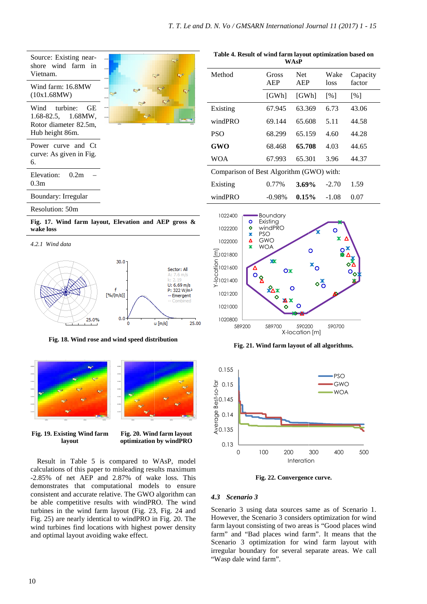| Source: Existing near-<br>shore wind farm in   | $\Rightarrow$                                                                                              | Table 4. Result of wind farm layout optimization based on             |                                              | <b>WAsP</b>                               |                           |                   |
|------------------------------------------------|------------------------------------------------------------------------------------------------------------|-----------------------------------------------------------------------|----------------------------------------------|-------------------------------------------|---------------------------|-------------------|
| Vietnam.<br>Wind farm: 16.8MW                  | $\blacktriangleright$<br>$\Rightarrow$                                                                     | Method                                                                | Gross<br><b>AEP</b>                          | Net<br><b>AEP</b>                         | Wake<br>loss              | Capacit<br>factor |
| (10x1.68MW)                                    | $\Rightarrow$<br>্য                                                                                        |                                                                       | [GWh]                                        | [GWh]                                     | [%]                       | [%]               |
| Wind<br>turbine:<br><b>GE</b>                  | $\mathbb{R}^3$                                                                                             | Existing                                                              | 67.945                                       | 63.369                                    | 6.73                      | 43.06             |
| 1.68-82.5,<br>1.68MW,<br>Rotor diameter 82.5m, |                                                                                                            | windPRO                                                               | 69.144                                       | 65.608                                    | 5.11                      | 44.58             |
| Hub height 86m.                                |                                                                                                            | <b>PSO</b>                                                            | 68.299                                       | 65.159                                    | 4.60                      | 44.28             |
| Power curve and Ct                             |                                                                                                            | <b>GWO</b>                                                            | 68.468                                       | 65.708                                    | 4.03                      | 44.65             |
| curve: As given in Fig.<br>6.                  |                                                                                                            | <b>WOA</b>                                                            | 67.993                                       | 65.301                                    | 3.96                      | 44.37             |
| 0.2m<br>Elevation:                             |                                                                                                            | Comparison of Best Algorithm (GWO) with:                              |                                              |                                           |                           |                   |
| 0.3m                                           |                                                                                                            | Existing                                                              | 0.77%                                        | 3.69%                                     | $-2.70$                   | 1.59              |
| <b>Boundary: Irregular</b>                     |                                                                                                            | windPRO                                                               | $-0.98%$                                     | 0.15%                                     | $-1.08$                   | 0.07              |
| Resolution: 50m                                |                                                                                                            | 1022400                                                               | <b>Boundary</b>                              |                                           |                           |                   |
|                                                | Fig. 17. Wind farm layout, Elevation and AEP gross &                                                       | ۰<br>$\ddot{\bullet}$<br>1022200                                      | Existing<br>windPRO                          |                                           |                           |                   |
| wake loss                                      |                                                                                                            | ж<br>Δ<br>1022000                                                     | <b>PSO</b><br>GWO                            |                                           | $x \Delta$                |                   |
| 4.2.1 Wind data                                |                                                                                                            | ж                                                                     | <b>WOA</b>                                   | O                                         | $\mathbf{Q}^{\mathbf{X}}$ |                   |
|                                                | 30.0                                                                                                       | $E_{1021800}$<br>$E_{51021600}$<br>$E_{51021400}$<br>$\sum_{1021400}$ | ЖX                                           | $x^{\alpha}$                              |                           |                   |
|                                                | Sector: All<br>A: 7.6 m/s                                                                                  |                                                                       | $\mathsf{O} \mathsf{X}$<br>$\frac{1}{\circ}$ |                                           |                           | $O_{\hat{O}}$     |
|                                                | < 2.19<br>U: 6.69 m/s<br>f<br>P: 322 W/m <sup>2</sup>                                                      |                                                                       | ӿ҄∆ж                                         | $\diamond_{\mathsf{O}}^{\mathsf{x}}$<br>O |                           |                   |
|                                                | [%/(m/s)]<br>-- Emergent<br>– Combined                                                                     | 1021200                                                               | ХX                                           |                                           |                           |                   |
|                                                |                                                                                                            | 1021000                                                               |                                              |                                           |                           |                   |
| 25.0%                                          | 0.0<br>$u$ [m/s]<br>$\Omega$<br>25.00                                                                      | 1020800<br>589200                                                     | 589700                                       | 590200                                    | 590700                    |                   |
|                                                | Fig. 18. Wind rose and wind speed distribution                                                             |                                                                       |                                              | X-location [m]                            |                           |                   |
|                                                |                                                                                                            |                                                                       | Fig. 21. Wind farm layout of all algorithms. |                                           |                           |                   |
|                                                |                                                                                                            |                                                                       |                                              |                                           |                           |                   |
|                                                |                                                                                                            | 0.155                                                                 |                                              |                                           | $\mathsf{PSO}$            |                   |
|                                                | <b>B</b>                                                                                                   |                                                                       |                                              |                                           | <b>GWO</b><br>$-WOA$      |                   |
|                                                |                                                                                                            |                                                                       |                                              |                                           |                           |                   |
|                                                |                                                                                                            | $50.15$<br>$50.145$<br>$60.145$<br>$80.014$<br>$80.135$               |                                              |                                           |                           |                   |
|                                                |                                                                                                            |                                                                       |                                              |                                           |                           |                   |
| Fig. 19. Existing Wind farm<br>layout          | Fig. 20. Wind farm layout<br>optimization by windPRO                                                       |                                                                       |                                              |                                           |                           |                   |
|                                                |                                                                                                            | 0.13<br>0                                                             | 100<br>200                                   | 300                                       | 400                       | 500               |
|                                                | Result in Table 5 is compared to WAsP, model                                                               |                                                                       |                                              | Interation                                |                           |                   |
|                                                | calculations of this paper to misleading results maximum<br>-2.85% of net AEP and 2.87% of wake loss. This |                                                                       | Fig. 22. Convergence curve.                  |                                           |                           |                   |

# Resolution: 50m





**Fig. 18. Wind rose and wind speed distribution**



**Fig. 19. Existing Wind farm layout** 

**Fig. 20. Wind farm layout optimization by windPRO**

Result in Table 5 is compared to WAsP, model calculations of this paper to misleading results maximum -2.85% of net AEP and 2.87% of wake loss. This demonstrates that computational models to ensure consistent and accurate relative. The GWO algorithm can be able competitive results with windPRO. The wind turbines in the wind farm layout (Fig. 23, Fig. 24 and Fig. 25) are nearly identical to windPRO in Fig. 20. The wind turbines find locations with highest power density and optimal layout avoiding wake effect.

**WAsP** 

| Method                                   | Gross<br>AEP | <b>Net</b><br>AEP | Wake<br>loss      | Capacity<br>factor |
|------------------------------------------|--------------|-------------------|-------------------|--------------------|
|                                          | [GWh]        | [GWh]             | $\lceil\% \rceil$ | $\lceil\% \rceil$  |
| Existing                                 | 67.945       | 63.369            | 6.73              | 43.06              |
| windPRO                                  | 69.144       | 65.608            | 5.11              | 44.58              |
| <b>PSO</b>                               | 68.299       | 65.159            | 4.60              | 44.28              |
| GWO                                      | 68.468       | 65.708            | 4.03              | 44.65              |
| WOA                                      | 67.993       | 65.301            | 3.96              | 44.37              |
| Comparison of Best Algorithm (GWO) with: |              |                   |                   |                    |
| Existing                                 | 0.77%        | 3.69%             | $-2.70$           | 1.59               |
| windPRO                                  | $-0.98%$     | 0.15%             | -1.08             | 0.07               |









#### *4.3 Scenario 3*

Scenario 3 using data sources same as of Scenario 1. However, the Scenario 3 considers optimization for wind farm layout consisting of two areas is "Good places wind farm" and "Bad places wind farm". It means that the Scenario 3 optimization for wind farm layout with irregular boundary for several separate areas. We call "Wasp dale wind farm".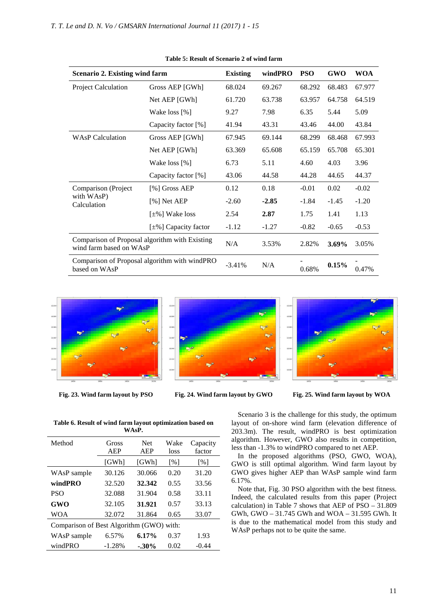| <b>Scenario 2. Existing wind farm</b>                                     |                                               | <b>Existing</b> | windPRO | <b>PSO</b> | <b>GWO</b> | <b>WOA</b> |
|---------------------------------------------------------------------------|-----------------------------------------------|-----------------|---------|------------|------------|------------|
| Project Calculation                                                       | Gross AEP [GWh]                               | 68.024          | 69.267  | 68.292     | 68.483     | 67.977     |
|                                                                           | Net AEP [GWh]                                 | 61.720          | 63.738  | 63.957     | 64.758     | 64.519     |
|                                                                           | Wake loss [%]                                 | 9.27            | 7.98    | 6.35       | 5.44       | 5.09       |
|                                                                           | Capacity factor [%]                           | 41.94           | 43.31   | 43.46      | 44.00      | 43.84      |
| <b>WAsP Calculation</b>                                                   | Gross AEP [GWh]                               | 67.945          | 69.144  | 68.299     | 68.468     | 67.993     |
|                                                                           | Net AEP [GWh]                                 | 63.369          | 65.608  | 65.159     | 65.708     | 65.301     |
|                                                                           | Wake loss [%]                                 | 6.73            | 5.11    | 4.60       | 4.03       | 3.96       |
|                                                                           | Capacity factor [%]                           | 43.06           | 44.58   | 44.28      | 44.65      | 44.37      |
| Comparison (Project                                                       | [%] Gross AEP                                 | 0.12            | 0.18    | $-0.01$    | 0.02       | $-0.02$    |
| with WAsP)<br>Calculation                                                 | [%] Net AEP                                   | $-2.60$         | $-2.85$ | $-1.84$    | $-1.45$    | $-1.20$    |
|                                                                           | $[\pm\%]$ Wake loss                           | 2.54            | 2.87    | 1.75       | 1.41       | 1.13       |
|                                                                           | $[\pm \%]$ Capacity factor                    | $-1.12$         | $-1.27$ | $-0.82$    | $-0.65$    | $-0.53$    |
| Comparison of Proposal algorithm with Existing<br>wind farm based on WAsP |                                               | N/A             | 3.53%   | 2.82%      | $3.69\%$   | 3.05%      |
| based on WAsP                                                             | Comparison of Proposal algorithm with windPRO | $-3.41%$        | N/A     | 0.68%      | 0.15%      | 0.47%      |

**Table 5: Result of Scenario 2 of wind farm** 



**Fig. 23. Wind farm layout by PSO**



Fig. 24. Wind farm layout by GWO



**25. Wind farm layout by WOA** 

**Table 6. Result of wind farm layout optimization based on WAsP.** 

| Method                                   | Gross<br>AEP | <b>Net</b><br>AEP | Wake<br>loss      | Capacity<br>factor |  |
|------------------------------------------|--------------|-------------------|-------------------|--------------------|--|
|                                          | [GWh]        | [GWh]             | $\lceil\% \rceil$ | $\lceil \% \rceil$ |  |
| WAsP sample                              | 30.126       | 30.066            | 0.20              | 31.20              |  |
| windPRO                                  | 32.520       | 32.342            | 0.55              | 33.56              |  |
| <b>PSO</b>                               | 32.088       | 31.904            | 0.58              | 33.11              |  |
| GWO                                      | 32.105       | 31.921            | 0.57              | 33.13              |  |
| WOA                                      | 32.072       | 31.864            | 0.65              | 33.07              |  |
| Comparison of Best Algorithm (GWO) with: |              |                   |                   |                    |  |
| WAsP sample                              | 6.57%        | 6.17%             | 0.37              | 1.93               |  |
| windPRO                                  | $-1.28%$     | $-0.30\%$         | 0.02              | $-0.44$            |  |

Scenario 3 is the challenge for this study, the optimum layout of on-shore wind farm (elevation difference of layout of on-shore wind farm (elevation difference of 203.3m). The result, windPRO is best optimization algorithm. However, GWO also results in competition, less than -1.3% to windPRO compared to net AEP.

In the proposed algorithms (PSO, GWO, WOA), GWO is still optimal algorithm. Wind farm layout by GWO gives higher AEP than WAsP sample wind farm 6.17%. 1.3% to wind PRO compared to net AEP.<br>proposed algorithms (PSO, GWO, WOA),<br>still optimal algorithm. Wind farm layout by<br>es higher AEP than WAsP sample wind farm

Note that, Fig. 30 PSO algorithm with the best fitness. Indeed, the calculated results from this paper (Project calculation) in Table 7 shows that AEP of  $PSO - 31.809$ GWh, GWO – 31.745 GWh and WOA – 31.595 GWh. It is due to the mathematical model from this study and WAsP perhaps not to be quite the same. . 30 PSO algorithm with the best fitness.<br>culated results from this paper (Project Table 7 shows that AEP of PSO – 31.809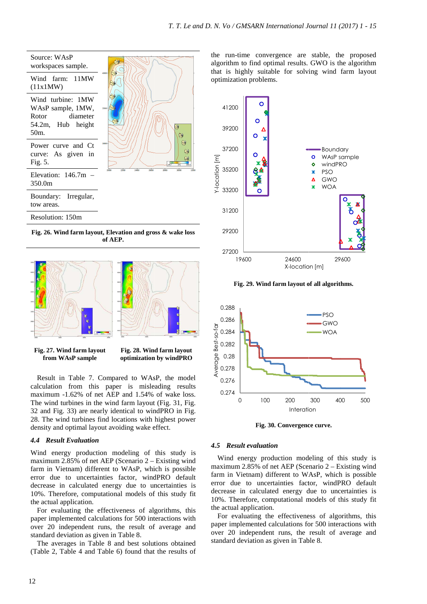

**Fig. 26. Wind farm layout, Elevation and gross & wake loss of AEP.**





**Fig. 28. Wind farm layout optimization by windPRO**

Result in Table 7. Compared to WAsP, the model calculation from this paper is misleading results maximum -1.62% of net AEP and 1.54% of wake loss. The wind turbines in the wind farm layout (Fig. 31, Fig. maximum -1.62% of net AEP and 1.54% of wake loss.<br>The wind turbines in the wind farm layout (Fig. 31, Fig. 32 and Fig. 33) are nearly identical to windPRO in Fig. 28. The wind turbines find locations with highest power density and optimal layout avoiding wake effect.

# *4.4 Result Evaluation*

Wind energy production modeling of this study is maximum 2.85% of net AEP (Scenario 2 – Existing wind farm in Vietnam) different to WAsP, which is possible error due to uncertainties factor, windPRO default decrease in calculated energy due to uncertainties is 10%. Therefore, computational models of this study fit the actual application.

For evaluating the effectiveness of algorithms, this paper implemented calculations for 500 interactions with over 20 independent runs, the result of average and standard deviation as given in Table 8.

The averages in Table 8 and best solutions obtained (Table 2, Table 4 and Table 6) found that the results of the run-time convergence are stable, the proposed algorithm to find optimal results. GWO is the algorithm that is highly suitable for solving wind farm layout optimization problems. time convergence are stand to find optimal results. GV<br>tighly suitable for solving



**Fig. 29. Wind farm layout of all algorithms algorithms.** 



**Fig. 30. Convergence curve curve.** 

# *4.5 Result evaluation*

Wind energy production modeling of this study is maximum 2.85% of net AEP (Scenario 2 – Existing wind farm in Vietnam) different to WAsP, which is possible error due to uncertainties factor, windPRO default decrease in calculated energy due to uncertainties is 10%. Therefore, computational models of this study fit the actual application.

For evaluating the effectiveness of algorithms, this paper implemented calculations for 500 interactions with over 20 independent runs, the result of average and standard deviation as given in Table 8.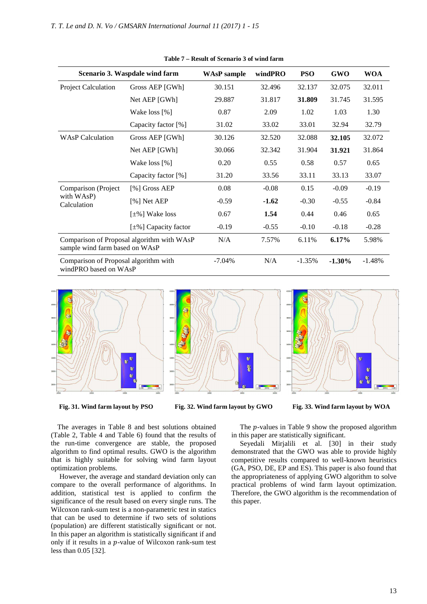| Scenario 3. Waspdale wind farm                                               |                             | <b>WAsP</b> sample | windPRO | <b>PSO</b> | <b>GWO</b> | <b>WOA</b> |
|------------------------------------------------------------------------------|-----------------------------|--------------------|---------|------------|------------|------------|
| Project Calculation                                                          | Gross AEP [GWh]             | 30.151             | 32.496  | 32.137     | 32.075     | 32.011     |
|                                                                              | Net AEP [GWh]               | 29.887             | 31.817  | 31.809     | 31.745     | 31.595     |
|                                                                              | Wake loss [%]               | 0.87               | 2.09    | 1.02       | 1.03       | 1.30       |
|                                                                              | Capacity factor [%]         | 31.02              | 33.02   | 33.01      | 32.94      | 32.79      |
| <b>WAsP Calculation</b>                                                      | Gross AEP [GWh]             | 30.126             | 32.520  | 32.088     | 32.105     | 32.072     |
|                                                                              | Net AEP [GWh]               | 30.066             | 32.342  | 31.904     | 31.921     | 31.864     |
|                                                                              | Wake loss [%]               | 0.20               | 0.55    | 0.58       | 0.57       | 0.65       |
|                                                                              | Capacity factor [%]         | 31.20              | 33.56   | 33.11      | 33.13      | 33.07      |
| Comparison (Project)                                                         | [%] Gross AEP               | 0.08               | $-0.08$ | 0.15       | $-0.09$    | $-0.19$    |
| with WAsP)<br>Calculation                                                    | [%] Net AEP                 | $-0.59$            | $-1.62$ | $-0.30$    | $-0.55$    | $-0.84$    |
|                                                                              | $[\pm\%]$ Wake loss         | 0.67               | 1.54    | 0.44       | 0.46       | 0.65       |
|                                                                              | [ $\pm\%$ ] Capacity factor | $-0.19$            | $-0.55$ | $-0.10$    | $-0.18$    | $-0.28$    |
| Comparison of Proposal algorithm with WAsP<br>sample wind farm based on WAsP |                             | N/A                | 7.57%   | 6.11%      | 6.17%      | 5.98%      |
| Comparison of Proposal algorithm with<br>windPRO based on WAsP               |                             | $-7.04\%$          | N/A     | $-1.35%$   | $-1.30\%$  | $-1.48%$   |

**Table 7 – Result of Scenario 3 of wind farm** 



**Fig. 31. Wind farm layout by PSO**

Fig. 32. Wind farm layout by GWO



The averages in Table 8 and best solutions obtained (Table 2, Table 4 and Table 6) found that the results of the run-time convergence are stable, the proposed algorithm to find optimal results. GWO is the algorithm that is highly suitable for solving wind farm layout optimization problems. time convergence are stable, the proposed<br>a to find optimal results. GWO is the algorithm<br>iighly suitable for solving wind farm layout<br>ion problems.<br>wer, the average and standard deviation only can<br>to the overall performan

However, the average and standard deviation only can compare to the overall performance of algorithms. In addition, statistical test is applied to confirm the significance of the result based on every single runs. The Wilcoxon rank-sum test is a non-parametric test in statics that can be used to determine if two sets of solutions Wilcoxon rank-sum test is a non-parametric test in statics<br>that can be used to determine if two sets of solutions<br>(population) are different statistically significant or not. In this paper an algorithm is statistically significant if and only if it results in a p-value of Wilcoxon rank-sum test less than 0.05 [32].

The  $p$ -values in Table 9 show the proposed algorithm in this paper are statistically significant.

Seyedali Mirjalili et al. [30] in their study demonstrated that the GWO was able to provide highly competitive results compared to well-known heuristics (GA, PSO, DE, EP and ES). This paper is also found that the appropriateness of applying GWO algorithm to solve practical problems of wind farm layout optimization. Therefore, the GWO algorithm is the recommendation of this paper. values in Table 9 show the proposed algorithm<br>per are statistically significant.<br>li Mirjalili et al. [30] in their study<br>ted that the GWO was able to provide highly<br>ve results compared to well-known heuristics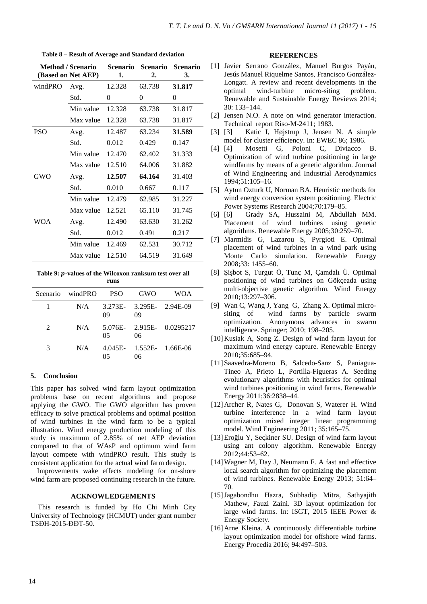|            | <b>Method / Scenario</b><br>(Based on Net AEP) | <b>Scenario</b><br>1. | <b>Scenario</b><br>2. | <b>Scenario</b><br>3. |
|------------|------------------------------------------------|-----------------------|-----------------------|-----------------------|
| windPRO    | Avg.                                           | 12.328                | 63.738                | 31.817                |
|            | Std.                                           | 0                     | 0                     | 0                     |
|            | Min value                                      | 12.328                | 63.738                | 31.817                |
|            | Max value                                      | 12.328                | 63.738                | 31.817                |
| <b>PSO</b> | Avg.                                           | 12.487                | 63.234                | 31.589                |
|            | Std.                                           | 0.012                 | 0.429                 | 0.147                 |
|            | Min value                                      | 12.470                | 62.402                | 31.333                |
|            | Max value                                      | 12.510                | 64.006                | 31.882                |
| <b>GWO</b> | Avg.                                           | 12.507                | 64.164                | 31.403                |
|            | Std.                                           | 0.010                 | 0.667                 | 0.117                 |
|            | Min value                                      | 12.479                | 62.985                | 31.227                |
|            | Max value                                      | 12.521                | 65.110                | 31.745                |
| WOA        | Avg.                                           | 12.490                | 63.630                | 31.262                |
|            | Std.                                           | 0.012                 | 0.491                 | 0.217                 |
|            | Min value                                      | 12.469                | 62.531                | 30.712                |
|            | Max value                                      | 12.510                | 64.519                | 31.649                |

**Table 8 – Result of Average and Standard deviation** 

Table 9: *p*-values of the Wilcoxon ranksum test over all **runs** 

|                | Scenario windPRO PSO |    | GWO                                | <b>WOA</b>                     |
|----------------|----------------------|----|------------------------------------|--------------------------------|
|                |                      | 09 | N/A 3.273E- 3.295E- 2.94E-09<br>09 |                                |
| $\mathfrak{D}$ | N/A                  | 05 | 06                                 | 5.076E- 2.915E- 0.0295217      |
| 3              | N/A                  | 05 | 06                                 | $4.045E - 1.552E - 1.66E - 06$ |

# **5. Conclusion**

This paper has solved wind farm layout optimization problems base on recent algorithms and propose applying the GWO. The GWO algorithm has proven efficacy to solve practical problems and optimal position of wind turbines in the wind farm to be a typical illustration. Wind energy production modeling of this study is maximum of 2.85% of net AEP deviation compared to that of WAsP and optimum wind farm layout compete with windPRO result. This study is consistent application for the actual wind farm design.

Improvements wake effects modeling for on-shore wind farm are proposed continuing research in the future.

# **ACKNOWLEDGEMENTS**

This research is funded by Ho Chi Minh City University of Technology (HCMUT) under grant number TSĐH-2015-ĐĐT-50.

#### **REFERENCES**

- [1] Javier Serrano González, Manuel Burgos Payán, Jesús Manuel Riquelme Santos, Francisco González-Longatt. A review and recent developments in the optimal wind-turbine micro-siting problem. Renewable and Sustainable Energy Reviews 2014; 30: 133–144.
- [2] Jensen N.O. A note on wind generator interaction. Technical report Riso-M-2411; 1983.
- [3] [3] Katic I, Højstrup J, Jensen N. A simple model for cluster efficiency. In: EWEC 86; 1986.
- [4] [4] Mosetti G, Poloni C, Diviacco B. Optimization of wind turbine positioning in large windfarms by means of a genetic algorithm. Journal of Wind Engineering and Industrial Aerodynamics 1994;51:105–16.
- [5] Aytun Ozturk U, Norman BA. Heuristic methods for wind energy conversion system positioning. Electric Power Systems Research 2004;70:179–85.
- [6] [6] Grady SA, Hussaini M, Abdullah MM. Placement of wind turbines using genetic algorithms. Renewable Energy 2005;30:259–70.
- [7] Marmidis G, Lazarou S, Pyrgioti E. Optimal placement of wind turbines in a wind park using Monte Carlo simulation. Renewable Energy 2008;33: 1455–60.
- [8] Şişbot S, Turgut Ö, Tunç M, Çamdalı Ü. Optimal positioning of wind turbines on Gökçeada using multi‐objective genetic algorithm. Wind Energy 2010;13:297–306.
- [9] Wan C, Wang J, Yang G, Zhang X. Optimal micrositing of wind farms by particle swarm optimization. Anonymous advances in swarm intelligence. Springer; 2010; 198–205.
- [10]Kusiak A, Song Z. Design of wind farm layout for maximum wind energy capture. Renewable Energy 2010;35:685–94.
- [11]Saavedra-Moreno B, Salcedo-Sanz S, Paniagua-Tineo A, Prieto L, Portilla-Figueras A. Seeding evolutionary algorithms with heuristics for optimal wind turbines positioning in wind farms. Renewable Energy 2011;36:2838–44.
- [12]Archer R, Nates G, Donovan S, Waterer H. Wind turbine interference in a wind farm layout optimization mixed integer linear programming model. Wind Engineering 2011; 35:165–75.
- [13]Eroğlu Y, Seçkiner SU. Design of wind farm layout using ant colony algorithm. Renewable Energy 2012;44:53–62.
- [14]Wagner M, Day J, Neumann F. A fast and effective local search algorithm for optimizing the placement of wind turbines. Renewable Energy 2013; 51:64– 70.
- [15]Jagabondhu Hazra, Subhadip Mitra, Sathyajith Mathew, Fauzi Zaini. 3D layout optimization for large wind farms. In: ISGT, 2015 IEEE Power & Energy Society.
- [16]Arne Kleina. A continuously differentiable turbine layout optimization model for offshore wind farms. Energy Procedia 2016; 94:497–503.